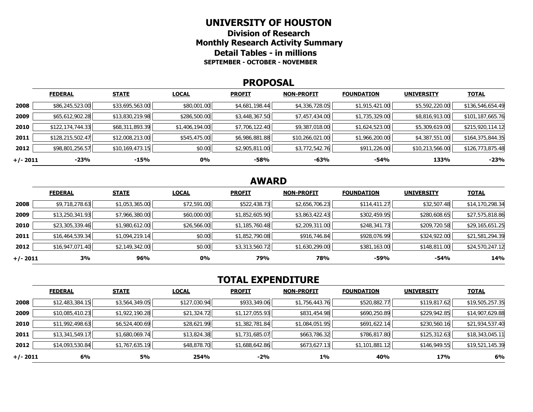#### **UNIVERSITY OF HOUSTON**

**Division of Research Monthly Research Activity Summary Detail Tables - in millions SEPTEMBER - OCTOBER - NOVEMBER** 

#### **PROPOSAL**

|            | <b>FEDERAL</b>   | <b>STATE</b>    | <b>LOCAL</b>   | <b>PROFIT</b>  | <b>NON-PROFIT</b> | <b>FOUNDATION</b> | <b>UNIVERSITY</b> | <b>TOTAL</b>     |
|------------|------------------|-----------------|----------------|----------------|-------------------|-------------------|-------------------|------------------|
| 2008       | \$86,245,523.00  | \$33,695,563.00 | \$80,001.00    | \$4,681,198.44 | \$4,336,728.05    | \$1,915,421.00    | \$5,592,220.00    | \$136,546,654.49 |
| 2009       | \$65,612,902.28  | \$13,830,219.98 | \$286,500.00   | \$3,448,367.50 | \$7,457,434.00    | \$1,735,329.00    | \$8,816,913.00    | \$101,187,665.76 |
| 2010       | \$122,174,744.33 | \$68,311,893.39 | \$1,406,194.00 | \$7,706,122.40 | \$9,387,018.00    | \$1,624,523.00    | \$5,309,619.00    | \$215,920,114.12 |
| 2011       | \$128,215,502.47 | \$12,008,213.00 | \$545,475.00   | \$6,986,881.88 | \$10,266,021.00   | \$1,966,200.00    | \$4,387,551.00    | \$164,375,844.35 |
| 2012       | \$98,801,256.57  | \$10,169,473.15 | \$0.00         | \$2,905,811.00 | \$3,772,542.76    | \$911,226.00      | \$10,213,566.00   | \$126,773,875.48 |
| $+/- 2011$ | $-23%$           | -15%            | 0%             | -58%           | -63%              | $-54%$            | 133%              | $-23%$           |

# **AWARD**

|          | <b>FEDERAL</b>  | <b>STATE</b>   | <b>LOCAL</b> | <b>PROFIT</b>  | <b>NON-PROFIT</b> | <b>FOUNDATION</b> | <b>UNIVERSITY</b> | <u>TOTAL</u>    |
|----------|-----------------|----------------|--------------|----------------|-------------------|-------------------|-------------------|-----------------|
| 2008     | \$9,718,278.63  | \$1,053,365.00 | \$72,591.00  | \$522,438.73   | \$2,656,706.23    | \$114,411.27      | \$32,507.48       | \$14,170,298.34 |
| 2009     | \$13,250,341.93 | \$7,966,380.00 | \$60,000.00  | \$1,852,605.90 | \$3,863,422.43    | \$302,459.95      | \$280,608.65      | \$27,575,818.86 |
| 2010     | \$23,305,339.46 | \$1,980,612.00 | \$26,566.00  | \$1,185,760.48 | \$2,209,311.00    | \$248,341.73      | \$209,720.58      | \$29,165,651.25 |
| 2011     | \$16,464,539.34 | \$1,094,219.14 | \$0.00       | \$1,852,790.08 | \$916,746.84      | \$928,076.99      | \$324,922.00      | \$21,581,294.39 |
| 2012     | \$16,947,071.40 | \$2,149,342.00 | \$0.00       | \$3,313,560.72 | \$1,630,299.00    | \$381,163.00      | \$148,811.00      | \$24,570,247.12 |
| +/- 2011 | 3%              | 96%            | 0%           | 79%            | 78%               | $-59%$            | $-54%$            | 14%             |

# **TOTAL EXPENDITURE**

|          | <b>FEDERAL</b>  | <b>STATE</b>   | <b>LOCAL</b> | <b>PROFIT</b>  | <b>NON-PROFIT</b> | <b>FOUNDATION</b> | <b>UNIVERSITY</b> | <b>TOTAL</b>    |
|----------|-----------------|----------------|--------------|----------------|-------------------|-------------------|-------------------|-----------------|
| 2008     | \$12,483,384.15 | \$3,564,349.05 | \$127,030.94 | \$933,349.06   | \$1,756,443.76    | \$520,882.77      | \$119,817.62      | \$19,505,257.35 |
| 2009     | \$10,085,410.23 | \$1,922,190.28 | \$21,324.72  | \$1,127,055.93 | \$831,454.98      | \$690,250.89      | \$229,942.85      | \$14,907,629.88 |
| 2010     | \$11,992,498.63 | \$6,524,400.69 | \$28,621.99  | \$1,382,781.84 | \$1,084,051.95    | \$691,622.14      | \$230,560.16      | \$21,934,537.40 |
| 2011     | \$13,341,549.17 | \$1,680,069.74 | \$13,824.38  | \$1,731,685.07 | \$663,786.32      | \$786,817.80      | \$125,312.63      | \$18,343,045.11 |
| 2012     | \$14,093,530.84 | \$1,767,635.19 | \$48,878.70  | \$1,688,642.86 | \$673,627.13      | \$1,101,881.12    | \$146,949.55      | \$19,521,145.39 |
| +/- 2011 | 6%              | <b>5%</b>      | 254%         | -2%            | $1\%$             | 40%               | 17%               | 6%              |